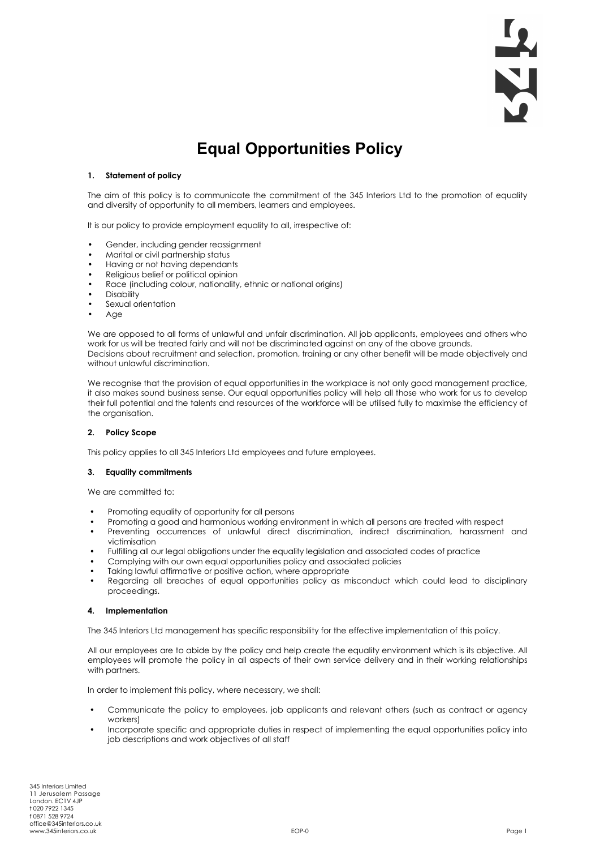# 

# Equal Opportunities Policy

## 1. Statement of policy

The aim of this policy is to communicate the commitment of the 345 Interiors Ltd to the promotion of equality and diversity of opportunity to all members, learners and employees.

It is our policy to provide employment equality to all, irrespective of:

- Gender, including gender reassignment
- Marital or civil partnership status
- Having or not having dependants
- Religious belief or political opinion
- Race (including colour, nationality, ethnic or national origins)
- **Disability**
- Sexual orientation
- Age

We are opposed to all forms of unlawful and unfair discrimination. All job applicants, employees and others who work for us will be treated fairly and will not be discriminated against on any of the above grounds. Decisions about recruitment and selection, promotion, training or any other benefit will be made objectively and without unlawful discrimination.

We recognise that the provision of equal opportunities in the workplace is not only good management practice, it also makes sound business sense. Our equal opportunities policy will help all those who work for us to develop their full potential and the talents and resources of the workforce will be utilised fully to maximise the efficiency of the organisation.

# 2. Policy Scope

This policy applies to all 345 Interiors Ltd employees and future employees.

### 3. Equality commitments

We are committed to:

- Promoting equality of opportunity for all persons
- Promoting a good and harmonious working environment in which all persons are treated with respect
- Preventing occurrences of unlawful direct discrimination, indirect discrimination, harassment and victimisation
- Fulfilling all our legal obligations under the equality legislation and associated codes of practice
- Complying with our own equal opportunities policy and associated policies
- Taking lawful affirmative or positive action, where appropriate
- Regarding all breaches of equal opportunities policy as misconduct which could lead to disciplinary proceedings.

### 4. Implementation

The 345 Interiors Ltd management has specific responsibility for the effective implementation of this policy.

All our employees are to abide by the policy and help create the equality environment which is its objective. All employees will promote the policy in all aspects of their own service delivery and in their working relationships with partners.

In order to implement this policy, where necessary, we shall:

- Communicate the policy to employees, job applicants and relevant others (such as contract or agency workers)
- Incorporate specific and appropriate duties in respect of implementing the equal opportunities policy into job descriptions and work objectives of all staff